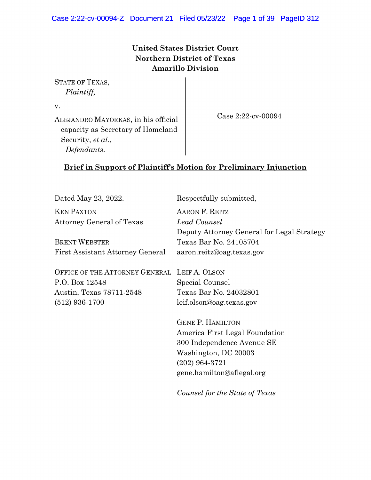## **United States District Court Northern District of Texas Amarillo Division**

STATE OF TEXAS, *Plaintiff,*

(512) 936-1700

v.

ALEJANDRO MAYORKAS, in his official capacity as Secretary of Homeland Security, *et al.*, *Defendants*.

Case 2:22-cv-00094

## **Brief in Support of Plaintiff's Motion for Preliminary Injunction**

Dated May 23, 2022. Respectfully submitted, KEN PAXTON Attorney General of Texas BRENT WEBSTER First Assistant Attorney General OFFICE OF THE ATTORNEY GENERAL LEIF A. OLSON P.O. Box 12548 Austin, Texas 78711-2548 AARON F. REITZ *Lead Counsel* Deputy Attorney General for Legal Strategy Texas Bar No. 24105704 aaron.reitz@oag.texas.gov Special Counsel Texas Bar No. 24032801

> GENE P. HAMILTON America First Legal Foundation 300 Independence Avenue SE Washington, DC 20003 (202) 964-3721 gene.hamilton@aflegal.org

leif.olson@oag.texas.gov

*Counsel for the State of Texas*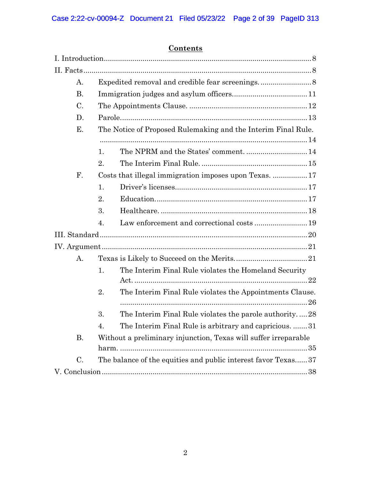## **Contents**

| A.                   |                                                                 |  |  |
|----------------------|-----------------------------------------------------------------|--|--|
| <b>B.</b>            |                                                                 |  |  |
| C.                   |                                                                 |  |  |
| D.                   |                                                                 |  |  |
| Е.                   | The Notice of Proposed Rulemaking and the Interim Final Rule.   |  |  |
|                      |                                                                 |  |  |
|                      | 1.                                                              |  |  |
|                      | 2.                                                              |  |  |
| $\mathbf{F}_{\cdot}$ | Costs that illegal immigration imposes upon Texas.  17          |  |  |
|                      | 1.                                                              |  |  |
|                      | 2.                                                              |  |  |
|                      | 3.                                                              |  |  |
|                      | 4.                                                              |  |  |
|                      |                                                                 |  |  |
|                      |                                                                 |  |  |
| A.                   |                                                                 |  |  |
|                      | The Interim Final Rule violates the Homeland Security<br>1.     |  |  |
|                      |                                                                 |  |  |
|                      | The Interim Final Rule violates the Appointments Clause.<br>2.  |  |  |
|                      | The Interim Final Rule violates the parole authority28<br>3.    |  |  |
|                      | The Interim Final Rule is arbitrary and capricious.  31<br>4.   |  |  |
| В.                   | Without a preliminary injunction, Texas will suffer irreparable |  |  |
|                      |                                                                 |  |  |
| $\mathcal{C}$ .      | The balance of the equities and public interest favor Texas37   |  |  |
|                      |                                                                 |  |  |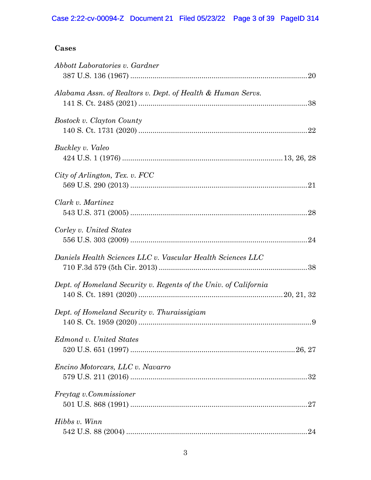## **Cases**

| Abbott Laboratories v. Gardner                                   |
|------------------------------------------------------------------|
| Alabama Assn. of Realtors v. Dept. of Health & Human Servs.      |
| Bostock v. Clayton County                                        |
| Buckley v. Valeo                                                 |
| City of Arlington, Tex. v. FCC                                   |
| Clark v. Martinez                                                |
| Corley v. United States                                          |
| Daniels Health Sciences LLC v. Vascular Health Sciences LLC      |
| Dept. of Homeland Security v. Regents of the Univ. of California |
| Dept. of Homeland Security v. Thuraissigiam                      |
| Edmond v. United States                                          |
| Encino Motorcars, LLC v. Navarro                                 |
| <i>Freytag v.Commissioner</i>                                    |
| Hibbs v. Winn                                                    |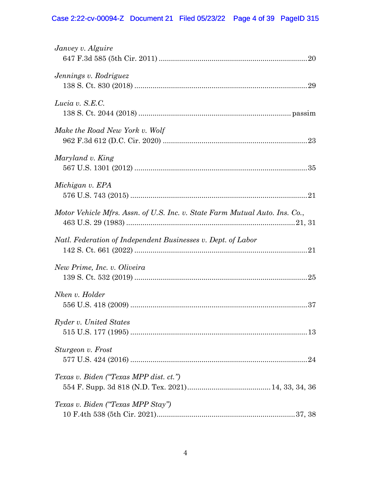# Case 2:22-cv-00094-Z Document 21 Filed 05/23/22 Page 4 of 39 PageID 315

| Janvey v. Alguire                                                           |  |
|-----------------------------------------------------------------------------|--|
| Jennings v. Rodriguez                                                       |  |
| Lucia v. S.E.C.                                                             |  |
| Make the Road New York v. Wolf                                              |  |
| Maryland v. King                                                            |  |
| Michigan v. EPA                                                             |  |
| Motor Vehicle Mfrs. Assn. of U.S. Inc. v. State Farm Mutual Auto. Ins. Co., |  |
| Natl. Federation of Independent Businesses v. Dept. of Labor                |  |
| New Prime, Inc. v. Oliveira                                                 |  |
| Nken v. Holder                                                              |  |
| Ryder v. United States                                                      |  |
| Sturgeon v. Frost                                                           |  |
| Texas v. Biden ("Texas MPP dist. ct.")                                      |  |
| Texas v. Biden ("Texas MPP Stay")                                           |  |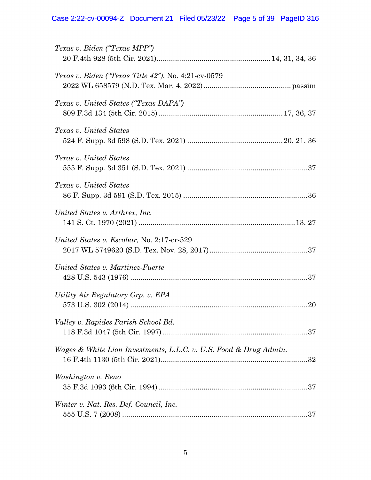# Case 2:22-cv-00094-Z Document 21 Filed 05/23/22 Page 5 of 39 PageID 316

| Texas v. Biden ("Texas MPP")                                      |
|-------------------------------------------------------------------|
| Texas v. Biden ("Texas Title 42"), No. 4:21-cv-0579               |
| Texas v. United States ("Texas DAPA")                             |
| Texas v. United States                                            |
| Texas v. United States                                            |
| Texas v. United States                                            |
| United States v. Arthrex, Inc.                                    |
| United States v. Escobar, No. 2:17-cr-529                         |
| United States v. Martinez-Fuerte                                  |
| Utility Air Regulatory Grp. v. EPA                                |
| Valley v. Rapides Parish School Bd.                               |
| Wages & White Lion Investments, L.L.C. v. U.S. Food & Drug Admin. |
| Washington v. Reno                                                |
| Winter v. Nat. Res. Def. Council, Inc.                            |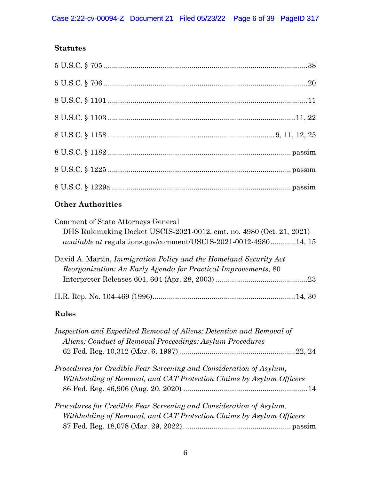## **Statutes**

## **Other Authorities**

| Comment of State Attorneys General                                     |
|------------------------------------------------------------------------|
| DHS Rulemaking Docket USCIS-2021-0012, cmt. no. 4980 (Oct. 21, 2021)   |
| <i>available at regulations.gov/comment/USCIS-2021-0012-498014, 15</i> |
| David A. Martin, Immigration Policy and the Homeland Security Act      |
| Reorganization: An Early Agenda for Practical Improvements, 80         |
|                                                                        |
|                                                                        |
| Rules                                                                  |

| Inspection and Expedited Removal of Aliens; Detention and Removal of |  |
|----------------------------------------------------------------------|--|
| Aliens; Conduct of Removal Proceedings; Asylum Procedures            |  |
|                                                                      |  |
| Procedures for Credible Fear Screening and Consideration of Asylum,  |  |
| Withholding of Removal, and CAT Protection Claims by Asylum Officers |  |
|                                                                      |  |
| Procedures for Credible Fear Screening and Consideration of Asylum,  |  |
| Withholding of Removal, and CAT Protection Claims by Asylum Officers |  |
|                                                                      |  |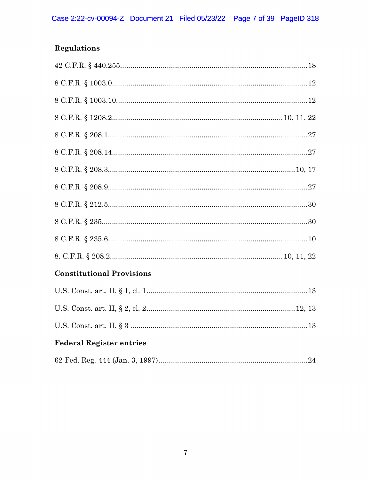# **Regulations**

| <b>Constitutional Provisions</b> |
|----------------------------------|
|                                  |
|                                  |
|                                  |
| <b>Federal Register entries</b>  |
|                                  |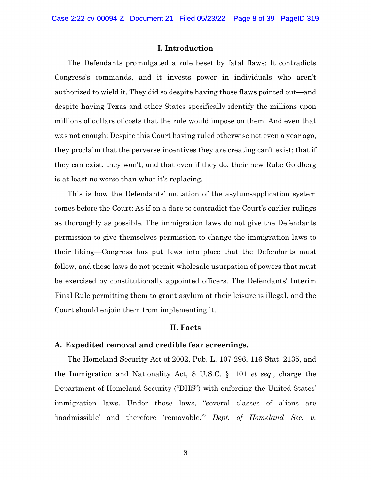#### **I. Introduction**

<span id="page-7-0"></span>The Defendants promulgated a rule beset by fatal flaws: It contradicts Congress's commands, and it invests power in individuals who aren't authorized to wield it. They did so despite having those flaws pointed out—and despite having Texas and other States specifically identify the millions upon millions of dollars of costs that the rule would impose on them. And even that was not enough: Despite this Court having ruled otherwise not even a year ago, they proclaim that the perverse incentives they are creating can't exist; that if they can exist, they won't; and that even if they do, their new Rube Goldberg is at least no worse than what it's replacing.

This is how the Defendants' mutation of the asylum-application system comes before the Court: As if on a dare to contradict the Court's earlier rulings as thoroughly as possible. The immigration laws do not give the Defendants permission to give themselves permission to change the immigration laws to their liking—Congress has put laws into place that the Defendants must follow, and those laws do not permit wholesale usurpation of powers that must be exercised by constitutionally appointed officers. The Defendants' Interim Final Rule permitting them to grant asylum at their leisure is illegal, and the Court should enjoin them from implementing it.

#### **II. Facts**

#### <span id="page-7-2"></span><span id="page-7-1"></span>**A. Expedited removal and credible fear screenings.**

The Homeland Security Act of 2002, Pub. L. 107-296, 116 Stat. 2135, and the Immigration and Nationality Act, 8 U.S.C. § 1101 *et seq.*, charge the Department of Homeland Security ("DHS") with enforcing the United States' immigration laws. Under those laws, "several classes of aliens are 'inadmissible' and therefore 'removable.'" *Dept. of Homeland Sec. v.*

8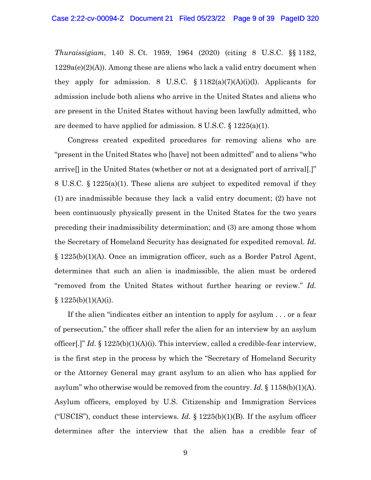*Thuraissigiam*, 140 S. Ct. 1959, 1964 (2020) (citing 8 U.S.C. §§ 1182,  $1229a(e)(2)(A)$ . Among these are aliens who lack a valid entry document when they apply for admission. 8 U.S.C.  $\S 1182(a)(7)(A)(i)(l)$ . Applicants for admission include both aliens who arrive in the United States and aliens who are present in the United States without having been lawfully admitted, who are deemed to have applied for admission. 8 U.S.C. § 1225(a)(1).

Congress created expedited procedures for removing aliens who are "present in the United States who [have] not been admitted" and to aliens "who arrive[] in the United States (whether or not at a designated port of arrival[.]" 8 U.S.C. § 1225(a)(1). These aliens are subject to expedited removal if they (1) are inadmissible because they lack a valid entry document; (2) have not been continuously physically present in the United States for the two years preceding their inadmissibility determination; and (3) are among those whom the Secretary of Homeland Security has designated for expedited removal. *Id.*  § 1225(b)(1)(A). Once an immigration officer, such as a Border Patrol Agent, determines that such an alien is inadmissible, the alien must be ordered "removed from the United States without further hearing or review." *Id.*  $§ 1225(b)(1)(A)(i).$ 

If the alien "indicates either an intention to apply for asylum . . . or a fear of persecution," the officer shall refer the alien for an interview by an asylum officer[.]" *Id.* § 1225(b)(1)(A)(i). This interview, called a credible-fear interview, is the first step in the process by which the "Secretary of Homeland Security or the Attorney General may grant asylum to an alien who has applied for asylum" who otherwise would be removed from the country. *Id.* § 1158(b)(1)(A). Asylum officers, employed by U.S. Citizenship and Immigration Services ("USCIS"), conduct these interviews. *Id.* § 1225(b)(1)(B). If the asylum officer determines after the interview that the alien has a credible fear of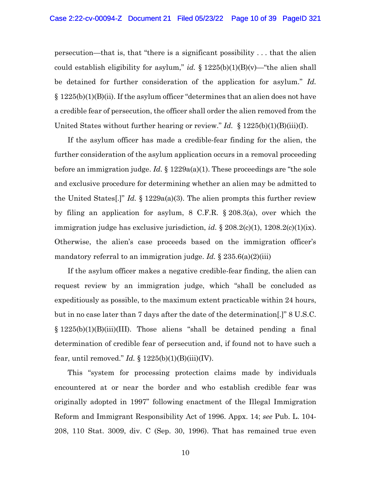persecution—that is, that "there is a significant possibility . . . that the alien could establish eligibility for asylum," *id.* § 1225(b)(1)(B)(v)—"the alien shall be detained for further consideration of the application for asylum." *Id.*  $\S 1225(b)(1)(B)(ii)$ . If the asylum officer "determines that an alien does not have a credible fear of persecution, the officer shall order the alien removed from the United States without further hearing or review." *Id.* § 1225(b)(1)(B)(iii)(I).

If the asylum officer has made a credible-fear finding for the alien, the further consideration of the asylum application occurs in a removal proceeding before an immigration judge. *Id.* § 1229a(a)(1). These proceedings are "the sole and exclusive procedure for determining whether an alien may be admitted to the United States[.]" *Id.* § 1229a(a)(3). The alien prompts this further review by filing an application for asylum, 8 C.F.R. § 208.3(a), over which the immigration judge has exclusive jurisdiction, *id.* § 208.2(c)(1), 1208.2(c)(1)(ix). Otherwise, the alien's case proceeds based on the immigration officer's mandatory referral to an immigration judge. *Id.* § 235.6(a)(2)(iii)

If the asylum officer makes a negative credible-fear finding, the alien can request review by an immigration judge, which "shall be concluded as expeditiously as possible, to the maximum extent practicable within 24 hours, but in no case later than 7 days after the date of the determination[.]" 8 U.S.C. § 1225(b)(1)(B)(iii)(III). Those aliens "shall be detained pending a final determination of credible fear of persecution and, if found not to have such a fear, until removed." *Id.* § 1225(b)(1)(B)(iii)(IV).

This "system for processing protection claims made by individuals encountered at or near the border and who establish credible fear was originally adopted in 1997" following enactment of the Illegal Immigration Reform and Immigrant Responsibility Act of 1996. Appx. 14; *see* Pub. L. 104- 208, 110 Stat. 3009, div. C (Sep. 30, 1996). That has remained true even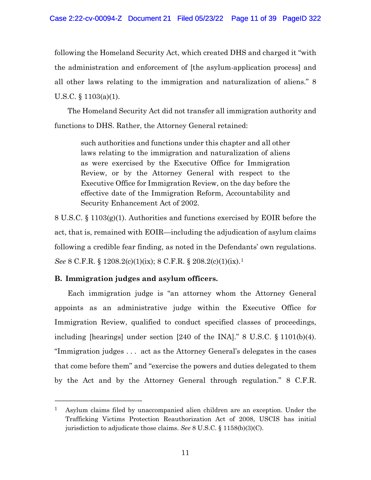following the Homeland Security Act, which created DHS and charged it "with the administration and enforcement of [the asylum-application process] and all other laws relating to the immigration and naturalization of aliens." 8 U.S.C. § 1103(a)(1).

The Homeland Security Act did not transfer all immigration authority and functions to DHS. Rather, the Attorney General retained:

such authorities and functions under this chapter and all other laws relating to the immigration and naturalization of aliens as were exercised by the Executive Office for Immigration Review, or by the Attorney General with respect to the Executive Office for Immigration Review, on the day before the effective date of the Immigration Reform, Accountability and Security Enhancement Act of 2002.

8 U.S.C. § 1103(g)(1). Authorities and functions exercised by EOIR before the act, that is, remained with EOIR—including the adjudication of asylum claims following a credible fear finding, as noted in the Defendants' own regulations. *See* 8 C.F.R. § 1208.2(c)(1)(ix); 8 C.F.R. § 208.2(c)(1)(ix).[1](#page-10-1)

## <span id="page-10-0"></span>**B. Immigration judges and asylum officers.**

Each immigration judge is "an attorney whom the Attorney General appoints as an administrative judge within the Executive Office for Immigration Review, qualified to conduct specified classes of proceedings, including [hearings] under section [240 of the INA]." 8 U.S.C. § 1101(b)(4). "Immigration judges . . . act as the Attorney General's delegates in the cases that come before them" and "exercise the powers and duties delegated to them by the Act and by the Attorney General through regulation." 8 C.F.R.

<span id="page-10-1"></span><sup>&</sup>lt;sup>1</sup> Asylum claims filed by unaccompanied alien children are an exception. Under the Trafficking Victims Protection Reauthorization Act of 2008, USCIS has initial jurisdiction to adjudicate those claims. *See* 8 U.S.C. § 1158(b)(3)(C).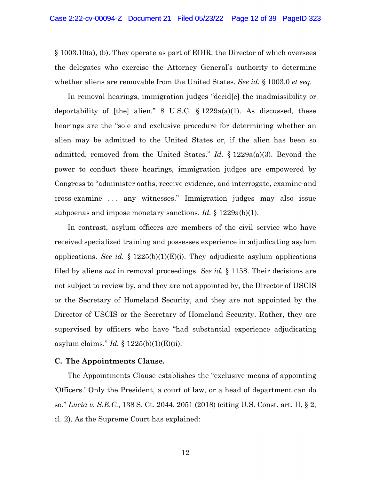§ 1003.10(a), (b). They operate as part of EOIR, the Director of which oversees the delegates who exercise the Attorney General's authority to determine whether aliens are removable from the United States. *See id.* § 1003.0 *et seq.*

In removal hearings, immigration judges "decid[e] the inadmissibility or deportability of [the] alien." 8 U.S.C.  $\S 1229a(a)(1)$ . As discussed, these hearings are the "sole and exclusive procedure for determining whether an alien may be admitted to the United States or, if the alien has been so admitted, removed from the United States." *Id.* § 1229a(a)(3). Beyond the power to conduct these hearings, immigration judges are empowered by Congress to "administer oaths, receive evidence, and interrogate, examine and cross-examine . . . any witnesses." Immigration judges may also issue subpoenas and impose monetary sanctions. *Id.* § 1229a(b)(1).

In contrast, asylum officers are members of the civil service who have received specialized training and possesses experience in adjudicating asylum applications. *See id.* § 1225(b)(1)(E)(i). They adjudicate asylum applications filed by aliens *not* in removal proceedings. *See id.* § 1158. Their decisions are not subject to review by, and they are not appointed by, the Director of USCIS or the Secretary of Homeland Security, and they are not appointed by the Director of USCIS or the Secretary of Homeland Security. Rather, they are supervised by officers who have "had substantial experience adjudicating asylum claims." *Id.* § 1225(b)(1)(E)(ii).

#### <span id="page-11-0"></span>**C. The Appointments Clause.**

The Appointments Clause establishes the "exclusive means of appointing 'Officers.' Only the President, a court of law, or a head of department can do so." *Lucia v. S.E.C.*, 138 S. Ct. 2044, 2051 (2018) (citing U.S. Const. art. II, § 2, cl. 2). As the Supreme Court has explained: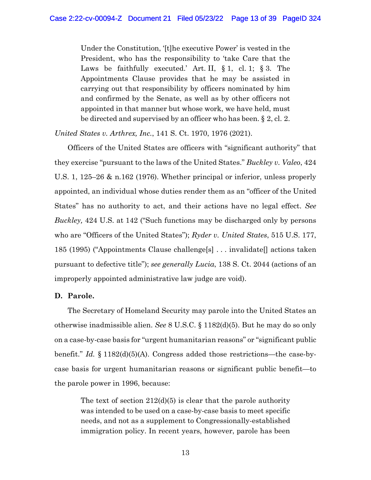Under the Constitution, '[t]he executive Power' is vested in the President, who has the responsibility to 'take Care that the Laws be faithfully executed.' Art. II,  $\S 1$ , cl. 1;  $\S 3$ . The Appointments Clause provides that he may be assisted in carrying out that responsibility by officers nominated by him and confirmed by the Senate, as well as by other officers not appointed in that manner but whose work, we have held, must be directed and supervised by an officer who has been. § 2, cl. 2.

*United States v. Arthrex, Inc.*, 141 S. Ct. 1970, 1976 (2021).

Officers of the United States are officers with "significant authority" that they exercise "pursuant to the laws of the United States." *Buckley v. Valeo*, 424 U.S. 1, 125–26 & n.162 (1976). Whether principal or inferior, unless properly appointed, an individual whose duties render them as an "officer of the United States" has no authority to act, and their actions have no legal effect. *See Buckley,* 424 U.S. at 142 ("Such functions may be discharged only by persons who are "Officers of the United States"); *Ryder v. United States*, 515 U.S. 177, 185 (1995) ("Appointments Clause challenge[s] . . . invalidate[] actions taken pursuant to defective title"); *see generally Lucia*, 138 S. Ct. 2044 (actions of an improperly appointed administrative law judge are void).

### <span id="page-12-0"></span>**D. Parole.**

The Secretary of Homeland Security may parole into the United States an otherwise inadmissible alien. *See* 8 U.S.C. § 1182(d)(5). But he may do so only on a case-by-case basis for "urgent humanitarian reasons" or "significant public benefit." *Id.* § 1182(d)(5)(A). Congress added those restrictions—the case-bycase basis for urgent humanitarian reasons or significant public benefit—to the parole power in 1996, because:

The text of section  $212(d)(5)$  is clear that the parole authority was intended to be used on a case-by-case basis to meet specific needs, and not as a supplement to Congressionally-established immigration policy. In recent years, however, parole has been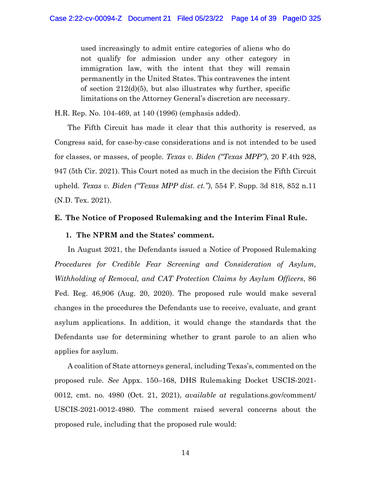used increasingly to admit entire categories of aliens who do not qualify for admission under any other category in immigration law, with the intent that they will remain permanently in the United States. This contravenes the intent of section  $212(d)(5)$ , but also illustrates why further, specific limitations on the Attorney General's discretion are necessary.

H.R. Rep. No. 104-469, at 140 (1996) (emphasis added).

The Fifth Circuit has made it clear that this authority is reserved, as Congress said, for case-by-case considerations and is not intended to be used for classes, or masses, of people. *Texas v. Biden ("Texas MPP")*, 20 F.4th 928, 947 (5th Cir. 2021). This Court noted as much in the decision the Fifth Circuit upheld. *Texas v. Biden ("Texas MPP dist. ct.")*, 554 F. Supp. 3d 818, 852 n.11 (N.D. Tex. 2021).

### <span id="page-13-1"></span><span id="page-13-0"></span>**E. The Notice of Proposed Rulemaking and the Interim Final Rule.**

### **1. The NPRM and the States' comment.**

In August 2021, the Defendants issued a Notice of Proposed Rulemaking *Procedures for Credible Fear Screening and Consideration of Asylum, Withholding of Removal, and CAT Protection Claims by Asylum Officers*, 86 Fed. Reg. 46,906 (Aug. 20, 2020). The proposed rule would make several changes in the procedures the Defendants use to receive, evaluate, and grant asylum applications. In addition, it would change the standards that the Defendants use for determining whether to grant parole to an alien who applies for asylum.

A coalition of State attorneys general, including Texas's, commented on the proposed rule. *See* Appx. 150–168, DHS Rulemaking Docket USCIS-2021- 0012, cmt. no. 4980 (Oct. 21, 2021), *available at* regulations.gov/comment/ USCIS-2021-0012-4980. The comment raised several concerns about the proposed rule, including that the proposed rule would: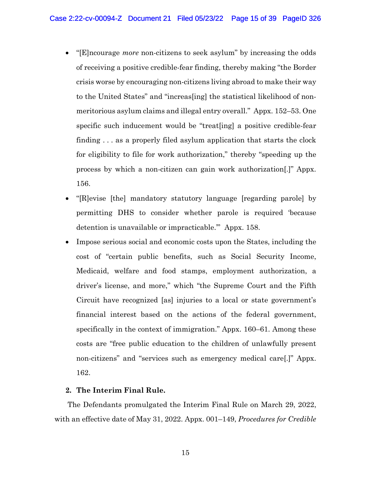- "[E]ncourage *more* non-citizens to seek asylum" by increasing the odds of receiving a positive credible-fear finding, thereby making "the Border crisis worse by encouraging non-citizens living abroad to make their way to the United States" and "increas[ing] the statistical likelihood of nonmeritorious asylum claims and illegal entry overall." Appx. 152–53. One specific such inducement would be "treat[ing] a positive credible-fear finding . . . as a properly filed asylum application that starts the clock for eligibility to file for work authorization," thereby "speeding up the process by which a non-citizen can gain work authorization[.]" Appx. 156.
- "[R]evise [the] mandatory statutory language [regarding parole] by permitting DHS to consider whether parole is required 'because detention is unavailable or impracticable.'" Appx. 158.
- Impose serious social and economic costs upon the States, including the cost of "certain public benefits, such as Social Security Income, Medicaid, welfare and food stamps, employment authorization, a driver's license, and more," which "the Supreme Court and the Fifth Circuit have recognized [as] injuries to a local or state government's financial interest based on the actions of the federal government, specifically in the context of immigration." Appx. 160–61. Among these costs are "free public education to the children of unlawfully present non-citizens" and "services such as emergency medical care[.]" Appx. 162.

### <span id="page-14-0"></span>**2. The Interim Final Rule.**

The Defendants promulgated the Interim Final Rule on March 29, 2022, with an effective date of May 31, 2022. Appx. 001–149, *Procedures for Credible*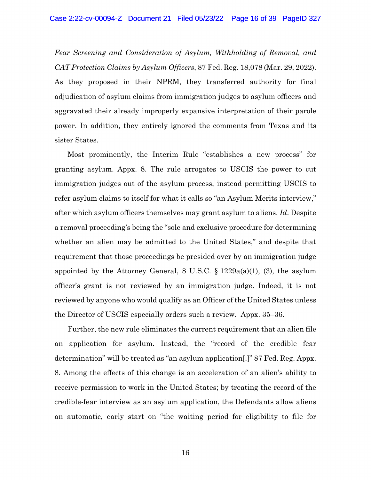*Fear Screening and Consideration of Asylum, Withholding of Removal, and CAT Protection Claims by Asylum Officers*, 87 Fed. Reg. 18,078 (Mar. 29, 2022). As they proposed in their NPRM, they transferred authority for final adjudication of asylum claims from immigration judges to asylum officers and aggravated their already improperly expansive interpretation of their parole power. In addition, they entirely ignored the comments from Texas and its sister States.

Most prominently, the Interim Rule "establishes a new process" for granting asylum. Appx. 8. The rule arrogates to USCIS the power to cut immigration judges out of the asylum process, instead permitting USCIS to refer asylum claims to itself for what it calls so "an Asylum Merits interview," after which asylum officers themselves may grant asylum to aliens. *Id*. Despite a removal proceeding's being the "sole and exclusive procedure for determining whether an alien may be admitted to the United States," and despite that requirement that those proceedings be presided over by an immigration judge appointed by the Attorney General,  $8 \text{ U.S.C. } \S 1229a(a)(1), (3),$  the asylum officer's grant is not reviewed by an immigration judge. Indeed, it is not reviewed by anyone who would qualify as an Officer of the United States unless the Director of USCIS especially orders such a review. Appx. 35–36.

Further, the new rule eliminates the current requirement that an alien file an application for asylum. Instead, the "record of the credible fear determination" will be treated as "an asylum application[.]" 87 Fed. Reg. Appx. 8. Among the effects of this change is an acceleration of an alien's ability to receive permission to work in the United States; by treating the record of the credible-fear interview as an asylum application, the Defendants allow aliens an automatic, early start on "the waiting period for eligibility to file for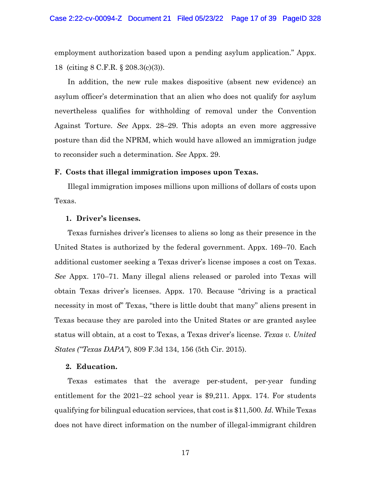employment authorization based upon a pending asylum application." Appx. 18 (citing 8 C.F.R. § 208.3(c)(3)).

In addition, the new rule makes dispositive (absent new evidence) an asylum officer's determination that an alien who does not qualify for asylum nevertheless qualifies for withholding of removal under the Convention Against Torture. *See* Appx. 28–29. This adopts an even more aggressive posture than did the NPRM, which would have allowed an immigration judge to reconsider such a determination. *See* Appx. 29.

#### <span id="page-16-0"></span>**F. Costs that illegal immigration imposes upon Texas.**

Illegal immigration imposes millions upon millions of dollars of costs upon Texas.

#### <span id="page-16-1"></span>**1. Driver's licenses.**

Texas furnishes driver's licenses to aliens so long as their presence in the United States is authorized by the federal government. Appx. 169–70. Each additional customer seeking a Texas driver's license imposes a cost on Texas. *See* Appx. 170–71. Many illegal aliens released or paroled into Texas will obtain Texas driver's licenses. Appx. 170. Because "driving is a practical necessity in most of" Texas, "there is little doubt that many" aliens present in Texas because they are paroled into the United States or are granted asylee status will obtain, at a cost to Texas, a Texas driver's license. *Texas v. United States ("Texas DAPA")*, 809 F.3d 134, 156 (5th Cir. 2015).

#### <span id="page-16-2"></span>**2. Education.**

Texas estimates that the average per-student, per-year funding entitlement for the 2021–22 school year is \$9,211. Appx. 174. For students qualifying for bilingual education services, that cost is \$11,500. *Id.* While Texas does not have direct information on the number of illegal-immigrant children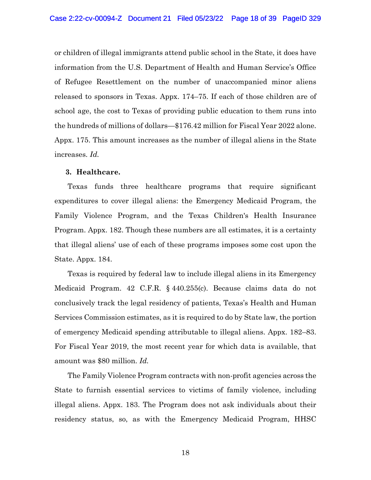or children of illegal immigrants attend public school in the State, it does have information from the U.S. Department of Health and Human Service's Office of Refugee Resettlement on the number of unaccompanied minor aliens released to sponsors in Texas. Appx. 174–75. If each of those children are of school age, the cost to Texas of providing public education to them runs into the hundreds of millions of dollars—\$176.42 million for Fiscal Year 2022 alone. Appx. 175. This amount increases as the number of illegal aliens in the State increases. *Id.*

#### <span id="page-17-0"></span>**3. Healthcare.**

Texas funds three healthcare programs that require significant expenditures to cover illegal aliens: the Emergency Medicaid Program, the Family Violence Program, and the Texas Children's Health Insurance Program. Appx. 182. Though these numbers are all estimates, it is a certainty that illegal aliens' use of each of these programs imposes some cost upon the State. Appx. 184.

Texas is required by federal law to include illegal aliens in its Emergency Medicaid Program. 42 C.F.R. § 440.255(c). Because claims data do not conclusively track the legal residency of patients, Texas's Health and Human Services Commission estimates, as it is required to do by State law, the portion of emergency Medicaid spending attributable to illegal aliens. Appx. 182–83. For Fiscal Year 2019, the most recent year for which data is available, that amount was \$80 million. *Id.*

The Family Violence Program contracts with non-profit agencies across the State to furnish essential services to victims of family violence, including illegal aliens. Appx. 183. The Program does not ask individuals about their residency status, so, as with the Emergency Medicaid Program, HHSC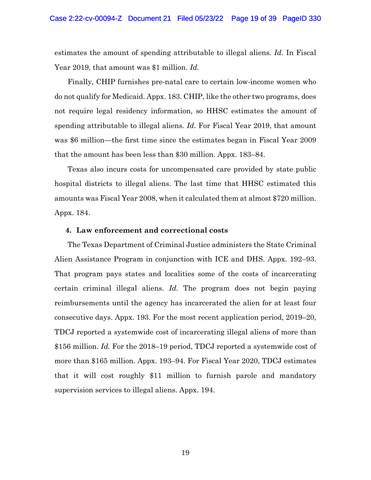estimates the amount of spending attributable to illegal aliens. *Id.* In Fiscal Year 2019, that amount was \$1 million. *Id.*

Finally, CHIP furnishes pre-natal care to certain low-income women who do not qualify for Medicaid. Appx. 183. CHIP, like the other two programs, does not require legal residency information, so HHSC estimates the amount of spending attributable to illegal aliens. *Id.* For Fiscal Year 2019, that amount was \$6 million—the first time since the estimates began in Fiscal Year 2009 that the amount has been less than \$30 million. Appx. 183–84.

Texas also incurs costs for uncompensated care provided by state public hospital districts to illegal aliens. The last time that HHSC estimated this amounts was Fiscal Year 2008, when it calculated them at almost \$720 million. Appx. 184.

#### <span id="page-18-0"></span>**4. Law enforcement and correctional costs**

The Texas Department of Criminal Justice administers the State Criminal Alien Assistance Program in conjunction with ICE and DHS. Appx. 192–93. That program pays states and localities some of the costs of incarcerating certain criminal illegal aliens. *Id.* The program does not begin paying reimbursements until the agency has incarcerated the alien for at least four consecutive days. Appx. 193. For the most recent application period, 2019–20, TDCJ reported a systemwide cost of incarcerating illegal aliens of more than \$156 million. *Id.* For the 2018–19 period, TDCJ reported a systemwide cost of more than \$165 million. Appx. 193–94. For Fiscal Year 2020, TDCJ estimates that it will cost roughly \$11 million to furnish parole and mandatory supervision services to illegal aliens. Appx. 194.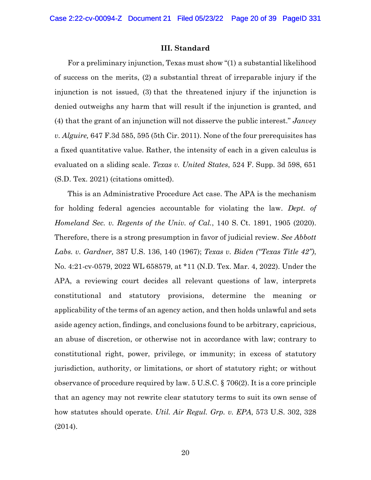#### **III. Standard**

<span id="page-19-0"></span>For a preliminary injunction, Texas must show "(1) a substantial likelihood of success on the merits, (2) a substantial threat of irreparable injury if the injunction is not issued, (3) that the threatened injury if the injunction is denied outweighs any harm that will result if the injunction is granted, and (4) that the grant of an injunction will not disserve the public interest." *Janvey v. Alguire,* 647 F.3d 585, 595 (5th Cir. 2011). None of the four prerequisites has a fixed quantitative value. Rather, the intensity of each in a given calculus is evaluated on a sliding scale. *Texas v. United States*, 524 F. Supp. 3d 598, 651 (S.D. Tex. 2021) (citations omitted).

This is an Administrative Procedure Act case. The APA is the mechanism for holding federal agencies accountable for violating the law. *Dept. of Homeland Sec. v. Regents of the Univ. of Cal.*, 140 S. Ct. 1891, 1905 (2020). Therefore, there is a strong presumption in favor of judicial review. *See Abbott Labs. v. Gardner,* 387 U.S. 136, 140 (1967); *Texas v. Biden ("Texas Title 42")*, No. 4:21-cv-0579, 2022 WL 658579, at \*11 (N.D. Tex. Mar. 4, 2022). Under the APA, a reviewing court decides all relevant questions of law, interprets constitutional and statutory provisions, determine the meaning or applicability of the terms of an agency action, and then holds unlawful and sets aside agency action, findings, and conclusions found to be arbitrary, capricious, an abuse of discretion, or otherwise not in accordance with law; contrary to constitutional right, power, privilege, or immunity; in excess of statutory jurisdiction, authority, or limitations, or short of statutory right; or without observance of procedure required by law. 5 U.S.C. § 706(2). It is a core principle that an agency may not rewrite clear statutory terms to suit its own sense of how statutes should operate. *Util. Air Regul. Grp. v. EPA*, 573 U.S. 302, 328 (2014).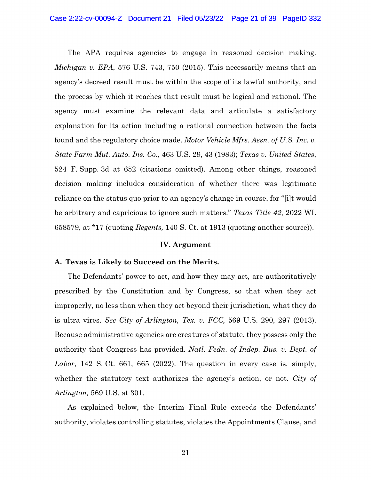The APA requires agencies to engage in reasoned decision making. *Michigan v. EPA*, 576 U.S. 743, 750 (2015). This necessarily means that an agency's decreed result must be within the scope of its lawful authority, and the process by which it reaches that result must be logical and rational. The agency must examine the relevant data and articulate a satisfactory explanation for its action including a rational connection between the facts found and the regulatory choice made. *Motor Vehicle Mfrs. Assn. of U.S. Inc. v. State Farm Mut. Auto. Ins. Co.*, 463 U.S. 29, 43 (1983); *Texas v. United States*, 524 F. Supp. 3d at 652 (citations omitted). Among other things, reasoned decision making includes consideration of whether there was legitimate reliance on the status quo prior to an agency's change in course, for "[i]t would be arbitrary and capricious to ignore such matters." *Texas Title 42*, 2022 WL 658579, at \*17 (quoting *Regents,* 140 S. Ct. at 1913 (quoting another source)).

#### **IV. Argument**

#### <span id="page-20-1"></span><span id="page-20-0"></span>**A. Texas is Likely to Succeed on the Merits.**

The Defendants' power to act, and how they may act, are authoritatively prescribed by the Constitution and by Congress, so that when they act improperly, no less than when they act beyond their jurisdiction, what they do is ultra vires. *See City of Arlington, Tex. v. FCC,* 569 U.S. 290, 297 (2013). Because administrative agencies are creatures of statute, they possess only the authority that Congress has provided. *Natl. Fedn. of Indep. Bus. v. Dept. of Labor*, 142 S. Ct. 661, 665 (2022). The question in every case is, simply, whether the statutory text authorizes the agency's action, or not. *City of Arlington,* 569 U.S. at 301.

As explained below, the Interim Final Rule exceeds the Defendants' authority, violates controlling statutes, violates the Appointments Clause, and

21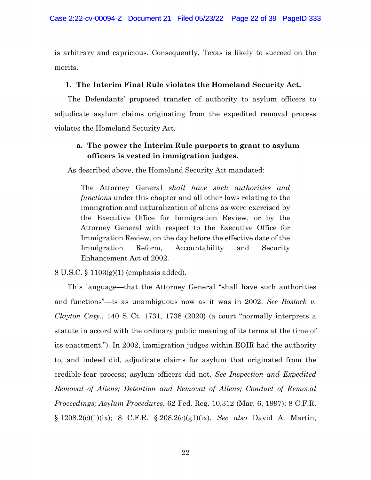is arbitrary and capricious. Consequently, Texas is likely to succeed on the merits.

### <span id="page-21-0"></span>**1. The Interim Final Rule violates the Homeland Security Act.**

The Defendants' proposed transfer of authority to asylum officers to adjudicate asylum claims originating from the expedited removal process violates the Homeland Security Act.

## **a. The power the Interim Rule purports to grant to asylum officers is vested in immigration judges.**

As described above, the Homeland Security Act mandated:

The Attorney General *shall have such authorities and functions* under this chapter and all other laws relating to the immigration and naturalization of aliens as were exercised by the Executive Office for Immigration Review, or by the Attorney General with respect to the Executive Office for Immigration Review, on the day before the effective date of the Immigration Reform, Accountability and Security Enhancement Act of 2002.

8 U.S.C. § 1103(g)(1) (emphasis added).

This language—that the Attorney General "shall have such authorities and functions"—is as unambiguous now as it was in 2002. *See Bostock v. Clayton Cnty.*, 140 S. Ct. 1731, 1738 (2020) (a court "normally interprets a statute in accord with the ordinary public meaning of its terms at the time of its enactment."). In 2002, immigration judges within EOIR had the authority to, and indeed did, adjudicate claims for asylum that originated from the credible-fear process; asylum officers did not. *See Inspection and Expedited Removal of Aliens; Detention and Removal of Aliens; Conduct of Removal Proceedings; Asylum Procedures*, 62 Fed. Reg. 10,312 (Mar. 6, 1997); 8 C.F.R. § 1208.2(c)(1)(ix); 8 C.F.R. § 208.2(c)(g1)(ix). *See also* David A. Martin,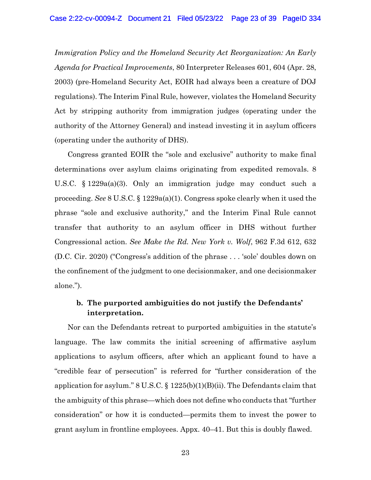*Immigration Policy and the Homeland Security Act Reorganization: An Early Agenda for Practical Improvements*, 80 Interpreter Releases 601, 604 (Apr. 28, 2003) (pre-Homeland Security Act, EOIR had always been a creature of DOJ regulations). The Interim Final Rule, however, violates the Homeland Security Act by stripping authority from immigration judges (operating under the authority of the Attorney General) and instead investing it in asylum officers (operating under the authority of DHS).

Congress granted EOIR the "sole and exclusive" authority to make final determinations over asylum claims originating from expedited removals. 8 U.S.C. § 1229a(a)(3). Only an immigration judge may conduct such a proceeding. *See* 8 U.S.C. § 1229a(a)(1). Congress spoke clearly when it used the phrase "sole and exclusive authority," and the Interim Final Rule cannot transfer that authority to an asylum officer in DHS without further Congressional action. *See Make the Rd. New York v. Wolf*, 962 F.3d 612, 632 (D.C. Cir. 2020) ("Congress's addition of the phrase . . . 'sole' doubles down on the confinement of the judgment to one decisionmaker, and one decisionmaker alone.").

## **b. The purported ambiguities do not justify the Defendants' interpretation.**

Nor can the Defendants retreat to purported ambiguities in the statute's language. The law commits the initial screening of affirmative asylum applications to asylum officers, after which an applicant found to have a "credible fear of persecution" is referred for "further consideration of the application for asylum." 8 U.S.C.  $\S$  1225(b)(1)(B)(ii). The Defendants claim that the ambiguity of this phrase—which does not define who conducts that "further consideration" or how it is conducted—permits them to invest the power to grant asylum in frontline employees. Appx. 40–41. But this is doubly flawed.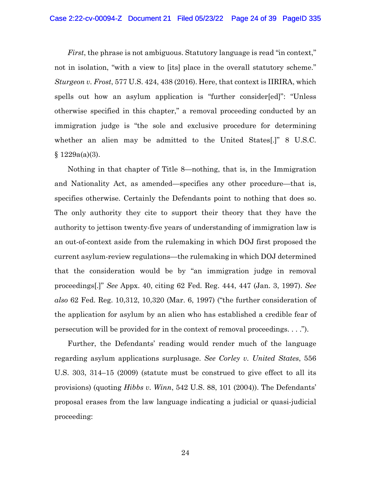*First*, the phrase is not ambiguous. Statutory language is read "in context," not in isolation, "with a view to [its] place in the overall statutory scheme." *Sturgeon v. Frost*, 577 U.S. 424, 438 (2016). Here, that context is IIRIRA, which spells out how an asylum application is "further consider[ed]": "Unless otherwise specified in this chapter," a removal proceeding conducted by an immigration judge is "the sole and exclusive procedure for determining whether an alien may be admitted to the United States[.]" 8 U.S.C.  $§ 1229a(a)(3).$ 

Nothing in that chapter of Title 8—nothing, that is, in the Immigration and Nationality Act, as amended—specifies any other procedure—that is, specifies otherwise. Certainly the Defendants point to nothing that does so. The only authority they cite to support their theory that they have the authority to jettison twenty-five years of understanding of immigration law is an out-of-context aside from the rulemaking in which DOJ first proposed the current asylum-review regulations—the rulemaking in which DOJ determined that the consideration would be by "an immigration judge in removal proceedings[.]" *See* Appx. 40, citing 62 Fed. Reg. 444, 447 (Jan. 3, 1997). *See also* 62 Fed. Reg. 10,312, 10,320 (Mar. 6, 1997) ("the further consideration of the application for asylum by an alien who has established a credible fear of persecution will be provided for in the context of removal proceedings. . . .").

Further, the Defendants' reading would render much of the language regarding asylum applications surplusage. *See Corley v. United States*, 556 U.S. 303, 314–15 (2009) (statute must be construed to give effect to all its provisions) (quoting *Hibbs v. Winn*, 542 U.S. 88, 101 (2004)). The Defendants' proposal erases from the law language indicating a judicial or quasi-judicial proceeding: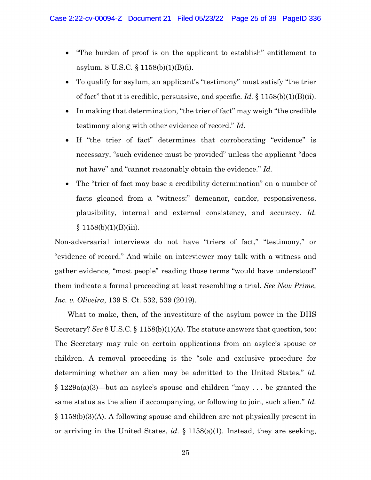- "The burden of proof is on the applicant to establish" entitlement to asylum. 8 U.S.C. § 1158(b)(1)(B)(i).
- To qualify for asylum, an applicant's "testimony" must satisfy "the trier of fact" that it is credible, persuasive, and specific. *Id.* § 1158(b)(1)(B)(ii).
- In making that determination, "the trier of fact" may weigh "the credible testimony along with other evidence of record." *Id.*
- If "the trier of fact" determines that corroborating "evidence" is necessary, "such evidence must be provided" unless the applicant "does not have" and "cannot reasonably obtain the evidence." *Id.*
- The "trier of fact may base a credibility determination" on a number of facts gleaned from a "witness:" demeanor, candor, responsiveness, plausibility, internal and external consistency, and accuracy. *Id.*  $§ 1158(b)(1)(B)(iii).$

Non-adversarial interviews do not have "triers of fact," "testimony," or "evidence of record." And while an interviewer may talk with a witness and gather evidence, "most people" reading those terms "would have understood" them indicate a formal proceeding at least resembling a trial. *See New Prime, Inc. v. Oliveira*, 139 S. Ct. 532, 539 (2019).

What to make, then, of the investiture of the asylum power in the DHS Secretary? *See* 8 U.S.C. § 1158(b)(1)(A). The statute answers that question, too: The Secretary may rule on certain applications from an asylee's spouse or children. A removal proceeding is the "sole and exclusive procedure for determining whether an alien may be admitted to the United States," *id.* § 1229a(a)(3)—but an asylee's spouse and children "may . . . be granted the same status as the alien if accompanying, or following to join, such alien." *Id.* § 1158(b)(3)(A). A following spouse and children are not physically present in or arriving in the United States, *id.* § 1158(a)(1). Instead, they are seeking,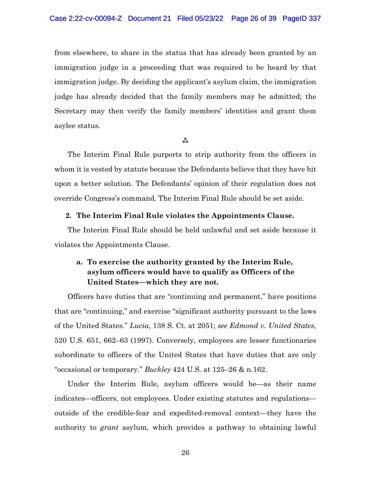from elsewhere, to share in the status that has already been granted by an immigration judge in a proceeding that was required to be heard by that immigration judge. By deciding the applicant's asylum claim, the immigration judge has already decided that the family members may be admitted; the Secretary may then verify the family members' identities and grant them asylee status.

#### $***$

The Interim Final Rule purports to strip authority from the officers in whom it is vested by statute because the Defendants believe that they have hit upon a better solution. The Defendants' opinion of their regulation does not override Congress's command. The Interim Final Rule should be set aside.

#### <span id="page-25-0"></span>**2. The Interim Final Rule violates the Appointments Clause.**

The Interim Final Rule should be held unlawful and set aside because it violates the Appointments Clause.

## **a. To exercise the authority granted by the Interim Rule, asylum officers would have to qualify as Officers of the United States—which they are not.**

Officers have duties that are "continuing and permanent," have positions that are "continuing," and exercise "significant authority pursuant to the laws of the United States." *Lucia*, 138 S. Ct. at 2051; *see Edmond v. United States*, 520 U.S. 651, 662–63 (1997). Conversely, employees are lesser functionaries subordinate to officers of the United States that have duties that are only "occasional or temporary." *Buckley* 424 U.S. at 125–26 & n.162.

Under the Interim Rule, asylum officers would be—as their name indicates—officers, not employees. Under existing statutes and regulations outside of the credible-fear and expedited-removal context—they have the authority to *grant* asylum, which provides a pathway to obtaining lawful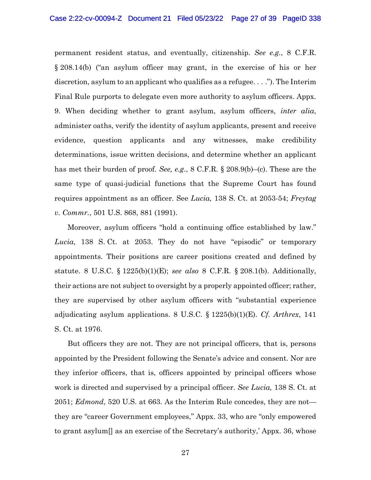permanent resident status, and eventually, citizenship. *See e.g.*, 8 C.F.R. § 208.14(b) ("an asylum officer may grant, in the exercise of his or her discretion, asylum to an applicant who qualifies as a refugee. . . ."). The Interim Final Rule purports to delegate even more authority to asylum officers. Appx. 9. When deciding whether to grant asylum, asylum officers, *inter alia*, administer oaths, verify the identity of asylum applicants, present and receive evidence, question applicants and any witnesses, make credibility determinations, issue written decisions, and determine whether an applicant has met their burden of proof. *See, e.g.*, 8 C.F.R. § 208.9(b)–(c). These are the same type of quasi-judicial functions that the Supreme Court has found requires appointment as an officer. See *Lucia,* 138 S. Ct. at 2053-54; *Freytag v. Commr.*, 501 U.S. 868, 881 (1991).

Moreover, asylum officers "hold a continuing office established by law." *Lucia*, 138 S. Ct. at 2053. They do not have "episodic" or temporary appointments. Their positions are career positions created and defined by statute. 8 U.S.C. § 1225(b)(1)(E); *see also* 8 C.F.R. § 208.1(b). Additionally, their actions are not subject to oversight by a properly appointed officer; rather, they are supervised by other asylum officers with "substantial experience adjudicating asylum applications. 8 U.S.C. § 1225(b)(1)(E). *Cf. Arthrex*, 141 S. Ct. at 1976.

But officers they are not. They are not principal officers, that is, persons appointed by the President following the Senate's advice and consent. Nor are they inferior officers, that is, officers appointed by principal officers whose work is directed and supervised by a principal officer. *See Lucia,* 138 S. Ct. at 2051; *Edmond*, 520 U.S. at 663. As the Interim Rule concedes, they are not they are "career Government employees," Appx. 33, who are "only empowered to grant asylum[] as an exercise of the Secretary's authority,' Appx. 36, whose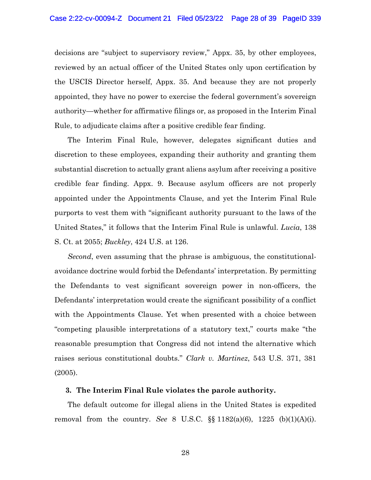decisions are "subject to supervisory review," Appx. 35, by other employees, reviewed by an actual officer of the United States only upon certification by the USCIS Director herself, Appx. 35. And because they are not properly appointed, they have no power to exercise the federal government's sovereign authority—whether for affirmative filings or, as proposed in the Interim Final Rule, to adjudicate claims after a positive credible fear finding.

The Interim Final Rule, however, delegates significant duties and discretion to these employees, expanding their authority and granting them substantial discretion to actually grant aliens asylum after receiving a positive credible fear finding. Appx. 9. Because asylum officers are not properly appointed under the Appointments Clause, and yet the Interim Final Rule purports to vest them with "significant authority pursuant to the laws of the United States," it follows that the Interim Final Rule is unlawful. *Lucia*, 138 S. Ct. at 2055; *Buckley*, 424 U.S. at 126.

*Second*, even assuming that the phrase is ambiguous, the constitutionalavoidance doctrine would forbid the Defendants' interpretation. By permitting the Defendants to vest significant sovereign power in non-officers, the Defendants' interpretation would create the significant possibility of a conflict with the Appointments Clause. Yet when presented with a choice between "competing plausible interpretations of a statutory text," courts make "the reasonable presumption that Congress did not intend the alternative which raises serious constitutional doubts." *Clark v. Martinez*, 543 U.S. 371, 381 (2005).

#### <span id="page-27-0"></span>**3. The Interim Final Rule violates the parole authority.**

The default outcome for illegal aliens in the United States is expedited removal from the country. *See* 8 U.S.C. §§ 1182(a)(6), 1225 (b)(1)(A)(i).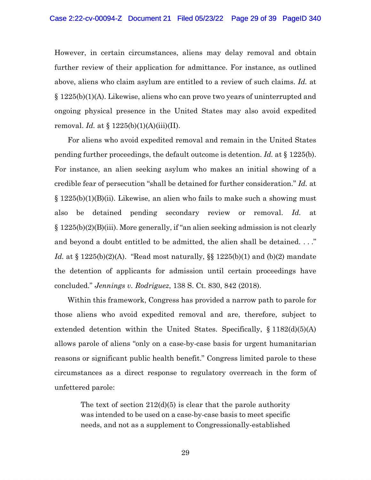However, in certain circumstances, aliens may delay removal and obtain further review of their application for admittance. For instance, as outlined above, aliens who claim asylum are entitled to a review of such claims. *Id.* at § 1225(b)(1)(A). Likewise, aliens who can prove two years of uninterrupted and ongoing physical presence in the United States may also avoid expedited removal. *Id.* at § 1225(b)(1)(A)(iii)(II).

For aliens who avoid expedited removal and remain in the United States pending further proceedings, the default outcome is detention. *Id.* at § 1225(b). For instance, an alien seeking asylum who makes an initial showing of a credible fear of persecution "shall be detained for further consideration." *Id.* at  $\S 1225(b)(1)(B)(ii)$ . Likewise, an alien who fails to make such a showing must also be detained pending secondary review or removal. *Id.* at § 1225(b)(2)(B)(iii). More generally, if "an alien seeking admission is not clearly and beyond a doubt entitled to be admitted, the alien shall be detained. . . ." *Id.* at § 1225(b)(2)(A). "Read most naturally, §§ 1225(b)(1) and (b)(2) mandate the detention of applicants for admission until certain proceedings have concluded." *Jennings v. Rodriguez*, 138 S. Ct. 830, 842 (2018).

Within this framework, Congress has provided a narrow path to parole for those aliens who avoid expedited removal and are, therefore, subject to extended detention within the United States. Specifically, § 1182(d)(5)(A) allows parole of aliens "only on a case-by-case basis for urgent humanitarian reasons or significant public health benefit." Congress limited parole to these circumstances as a direct response to regulatory overreach in the form of unfettered parole:

The text of section  $212(d)(5)$  is clear that the parole authority was intended to be used on a case-by-case basis to meet specific needs, and not as a supplement to Congressionally-established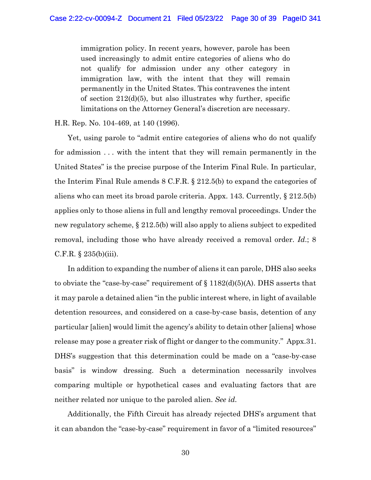immigration policy. In recent years, however, parole has been used increasingly to admit entire categories of aliens who do not qualify for admission under any other category in immigration law, with the intent that they will remain permanently in the United States. This contravenes the intent of section  $212(d)(5)$ , but also illustrates why further, specific limitations on the Attorney General's discretion are necessary.

H.R. Rep. No. 104-469, at 140 (1996).

Yet, using parole to "admit entire categories of aliens who do not qualify for admission . . . with the intent that they will remain permanently in the United States" is the precise purpose of the Interim Final Rule. In particular, the Interim Final Rule amends 8 C.F.R. § 212.5(b) to expand the categories of aliens who can meet its broad parole criteria. Appx. 143. Currently, § 212.5(b) applies only to those aliens in full and lengthy removal proceedings. Under the new regulatory scheme, § 212.5(b) will also apply to aliens subject to expedited removal, including those who have already received a removal order. *Id*.; 8 C.F.R. § 235(b)(iii).

In addition to expanding the number of aliens it can parole, DHS also seeks to obviate the "case-by-case" requirement of  $\S 1182(d)(5)(A)$ . DHS asserts that it may parole a detained alien "in the public interest where, in light of available detention resources, and considered on a case-by-case basis, detention of any particular [alien] would limit the agency's ability to detain other [aliens] whose release may pose a greater risk of flight or danger to the community." Appx.31. DHS's suggestion that this determination could be made on a "case-by-case basis" is window dressing. Such a determination necessarily involves comparing multiple or hypothetical cases and evaluating factors that are neither related nor unique to the paroled alien. *See id.*

Additionally, the Fifth Circuit has already rejected DHS's argument that it can abandon the "case-by-case" requirement in favor of a "limited resources"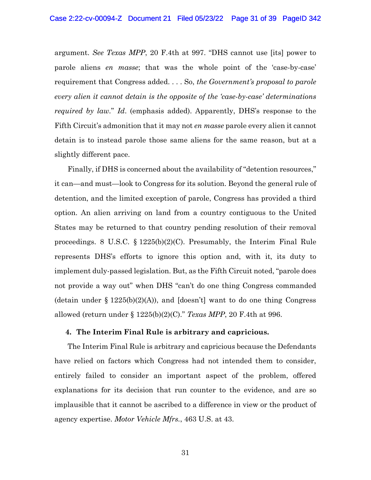argument. *See Texas MPP*, 20 F.4th at 997. "DHS cannot use [its] power to parole aliens *en masse*; that was the whole point of the 'case-by-case' requirement that Congress added. . . . So, *the Government's proposal to parole every alien it cannot detain is the opposite of the 'case-by-case' determinations required by law.*" *Id*. (emphasis added). Apparently, DHS's response to the Fifth Circuit's admonition that it may not *en masse* parole every alien it cannot detain is to instead parole those same aliens for the same reason, but at a slightly different pace.

Finally, if DHS is concerned about the availability of "detention resources," it can—and must—look to Congress for its solution. Beyond the general rule of detention, and the limited exception of parole, Congress has provided a third option. An alien arriving on land from a country contiguous to the United States may be returned to that country pending resolution of their removal proceedings. 8 U.S.C. § 1225(b)(2)(C). Presumably, the Interim Final Rule represents DHS's efforts to ignore this option and, with it, its duty to implement duly-passed legislation. But, as the Fifth Circuit noted, "parole does not provide a way out" when DHS "can't do one thing Congress commanded (detain under  $\S 1225(b)(2)(A)$ ), and [doesn't] want to do one thing Congress allowed (return under § 1225(b)(2)(C)." *Texas MPP*, 20 F.4th at 996.

#### <span id="page-30-0"></span>**4. The Interim Final Rule is arbitrary and capricious.**

The Interim Final Rule is arbitrary and capricious because the Defendants have relied on factors which Congress had not intended them to consider, entirely failed to consider an important aspect of the problem, offered explanations for its decision that run counter to the evidence, and are so implausible that it cannot be ascribed to a difference in view or the product of agency expertise. *Motor Vehicle Mfrs.*, 463 U.S. at 43.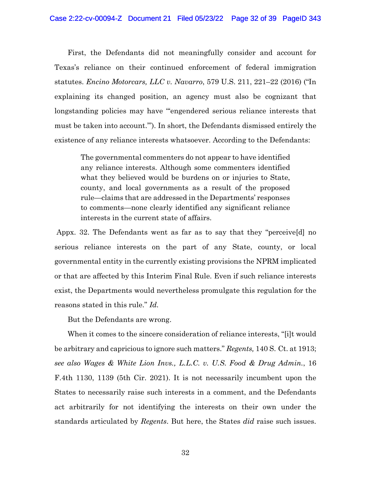First, the Defendants did not meaningfully consider and account for Texas's reliance on their continued enforcement of federal immigration statutes. *Encino Motorcars, LLC v. Navarro*, 579 U.S. 211, 221–22 (2016) ("In explaining its changed position, an agency must also be cognizant that longstanding policies may have "'engendered serious reliance interests that must be taken into account.'"). In short, the Defendants dismissed entirely the existence of any reliance interests whatsoever. According to the Defendants:

The governmental commenters do not appear to have identified any reliance interests. Although some commenters identified what they believed would be burdens on or injuries to State, county, and local governments as a result of the proposed rule—claims that are addressed in the Departments' responses to comments—none clearly identified any significant reliance interests in the current state of affairs.

Appx. 32. The Defendants went as far as to say that they "perceive[d] no serious reliance interests on the part of any State, county, or local governmental entity in the currently existing provisions the NPRM implicated or that are affected by this Interim Final Rule. Even if such reliance interests exist, the Departments would nevertheless promulgate this regulation for the reasons stated in this rule." *Id.* 

But the Defendants are wrong.

When it comes to the sincere consideration of reliance interests, "[i]t would be arbitrary and capricious to ignore such matters." *Regents,* 140 S. Ct. at 1913; *see also Wages & White Lion Invs., L.L.C. v. U.S. Food & Drug Admin.*, 16 F.4th 1130, 1139 (5th Cir. 2021). It is not necessarily incumbent upon the States to necessarily raise such interests in a comment, and the Defendants act arbitrarily for not identifying the interests on their own under the standards articulated by *Regents*. But here, the States *did* raise such issues.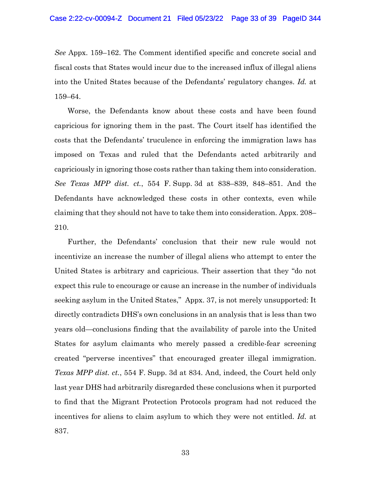*See* Appx. 159–162. The Comment identified specific and concrete social and fiscal costs that States would incur due to the increased influx of illegal aliens into the United States because of the Defendants' regulatory changes. *Id.* at 159–64.

Worse, the Defendants know about these costs and have been found capricious for ignoring them in the past. The Court itself has identified the costs that the Defendants' truculence in enforcing the immigration laws has imposed on Texas and ruled that the Defendants acted arbitrarily and capriciously in ignoring those costs rather than taking them into consideration. *See Texas MPP dist. ct.*, 554 F. Supp. 3d at 838–839, 848–851. And the Defendants have acknowledged these costs in other contexts, even while claiming that they should not have to take them into consideration. Appx. 208– 210.

Further, the Defendants' conclusion that their new rule would not incentivize an increase the number of illegal aliens who attempt to enter the United States is arbitrary and capricious. Their assertion that they "do not expect this rule to encourage or cause an increase in the number of individuals seeking asylum in the United States," Appx. 37, is not merely unsupported: It directly contradicts DHS's own conclusions in an analysis that is less than two years old—conclusions finding that the availability of parole into the United States for asylum claimants who merely passed a credible-fear screening created "perverse incentives" that encouraged greater illegal immigration. *Texas MPP dist. ct.*, 554 F. Supp. 3d at 834. And, indeed, the Court held only last year DHS had arbitrarily disregarded these conclusions when it purported to find that the Migrant Protection Protocols program had not reduced the incentives for aliens to claim asylum to which they were not entitled. *Id.* at 837.

33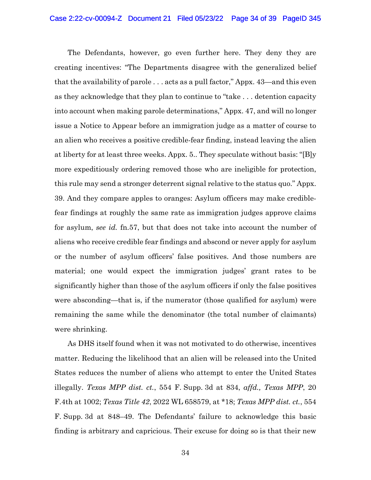The Defendants, however, go even further here. They deny they are creating incentives: "The Departments disagree with the generalized belief that the availability of parole . . . acts as a pull factor," Appx. 43—and this even as they acknowledge that they plan to continue to "take . . . detention capacity into account when making parole determinations," Appx. 47, and will no longer issue a Notice to Appear before an immigration judge as a matter of course to an alien who receives a positive credible-fear finding, instead leaving the alien at liberty for at least three weeks. Appx. 5.. They speculate without basis: "[B]y more expeditiously ordering removed those who are ineligible for protection, this rule may send a stronger deterrent signal relative to the status quo." Appx. 39. And they compare apples to oranges: Asylum officers may make crediblefear findings at roughly the same rate as immigration judges approve claims for asylum, *see id.* fn.57, but that does not take into account the number of aliens who receive credible fear findings and abscond or never apply for asylum or the number of asylum officers' false positives. And those numbers are material; one would expect the immigration judges' grant rates to be significantly higher than those of the asylum officers if only the false positives were absconding—that is, if the numerator (those qualified for asylum) were remaining the same while the denominator (the total number of claimants) were shrinking.

As DHS itself found when it was not motivated to do otherwise, incentives matter. Reducing the likelihood that an alien will be released into the United States reduces the number of aliens who attempt to enter the United States illegally. *Texas MPP dist. ct.*, 554 F. Supp. 3d at 834, *affd., Texas MPP*, 20 F.4th at 1002; *Texas Title 42*, 2022 WL 658579, at \*18; *Texas MPP dist. ct.*, 554 F. Supp. 3d at 848–49. The Defendants' failure to acknowledge this basic finding is arbitrary and capricious. Their excuse for doing so is that their new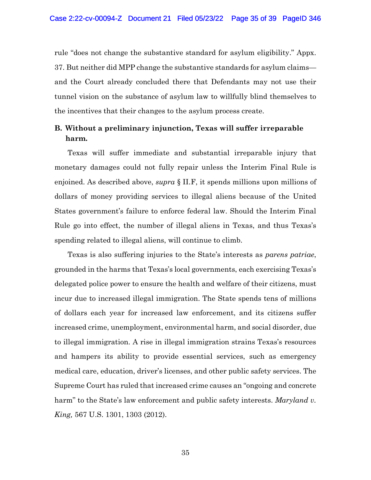rule "does not change the substantive standard for asylum eligibility." Appx. 37. But neither did MPP change the substantive standards for asylum claims and the Court already concluded there that Defendants may not use their tunnel vision on the substance of asylum law to willfully blind themselves to the incentives that their changes to the asylum process create.

## <span id="page-34-0"></span>**B. Without a preliminary injunction, Texas will suffer irreparable harm.**

Texas will suffer immediate and substantial irreparable injury that monetary damages could not fully repair unless the Interim Final Rule is enjoined. As described above, *supra* § [II.F,](#page-16-0) it spends millions upon millions of dollars of money providing services to illegal aliens because of the United States government's failure to enforce federal law. Should the Interim Final Rule go into effect, the number of illegal aliens in Texas, and thus Texas's spending related to illegal aliens, will continue to climb.

Texas is also suffering injuries to the State's interests as *parens patriae*, grounded in the harms that Texas's local governments, each exercising Texas's delegated police power to ensure the health and welfare of their citizens, must incur due to increased illegal immigration. The State spends tens of millions of dollars each year for increased law enforcement, and its citizens suffer increased crime, unemployment, environmental harm, and social disorder, due to illegal immigration. A rise in illegal immigration strains Texas's resources and hampers its ability to provide essential services, such as emergency medical care, education, driver's licenses, and other public safety services. The Supreme Court has ruled that increased crime causes an "ongoing and concrete harm" to the State's law enforcement and public safety interests. *Maryland v. King,* 567 U.S. 1301, 1303 (2012).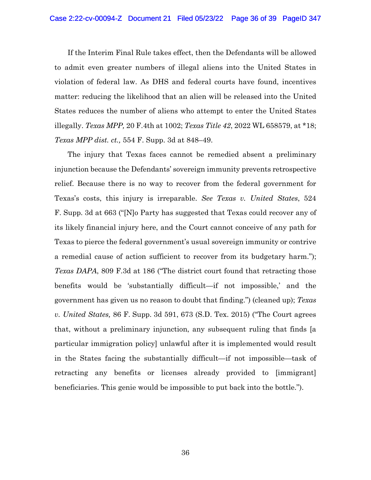If the Interim Final Rule takes effect, then the Defendants will be allowed to admit even greater numbers of illegal aliens into the United States in violation of federal law. As DHS and federal courts have found, incentives matter: reducing the likelihood that an alien will be released into the United States reduces the number of aliens who attempt to enter the United States illegally. *Texas MPP,* 20 F.4th at 1002; *Texas Title 42*, 2022 WL 658579, at \*18; *Texas MPP dist. ct.,* 554 F. Supp. 3d at 848–49.

The injury that Texas faces cannot be remedied absent a preliminary injunction because the Defendants' sovereign immunity prevents retrospective relief. Because there is no way to recover from the federal government for Texas's costs, this injury is irreparable. *See Texas v. United States*, 524 F. Supp. 3d at 663 ("[N]o Party has suggested that Texas could recover any of its likely financial injury here, and the Court cannot conceive of any path for Texas to pierce the federal government's usual sovereign immunity or contrive a remedial cause of action sufficient to recover from its budgetary harm."); *Texas DAPA*, 809 F.3d at 186 ("The district court found that retracting those benefits would be 'substantially difficult—if not impossible,' and the government has given us no reason to doubt that finding.") (cleaned up); *Texas v. United States,* 86 F. Supp. 3d 591, 673 (S.D. Tex. 2015) ("The Court agrees that, without a preliminary injunction, any subsequent ruling that finds [a particular immigration policy] unlawful after it is implemented would result in the States facing the substantially difficult—if not impossible—task of retracting any benefits or licenses already provided to [immigrant] beneficiaries. This genie would be impossible to put back into the bottle.").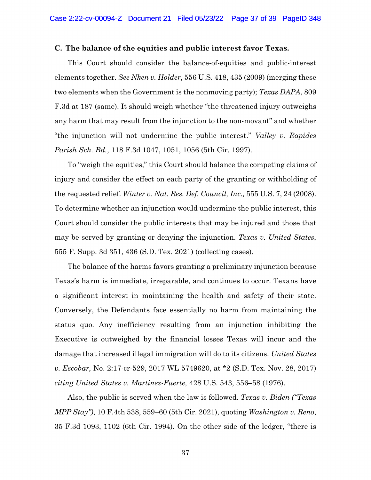#### <span id="page-36-0"></span>**C. The balance of the equities and public interest favor Texas.**

This Court should consider the balance-of-equities and public-interest elements together. *See Nken v. Holder*, 556 U.S. 418, 435 (2009) (merging these two elements when the Government is the nonmoving party); *Texas DAPA*, 809 F.3d at 187 (same). It should weigh whether "the threatened injury outweighs any harm that may result from the injunction to the non-movant" and whether "the injunction will not undermine the public interest." *Valley v. Rapides Parish Sch. Bd.*, 118 F.3d 1047, 1051, 1056 (5th Cir. 1997).

To "weigh the equities," this Court should balance the competing claims of injury and consider the effect on each party of the granting or withholding of the requested relief. *Winter v. Nat. Res. Def. Council, Inc.,* 555 U.S. 7, 24 (2008). To determine whether an injunction would undermine the public interest, this Court should consider the public interests that may be injured and those that may be served by granting or denying the injunction. *Texas v. United States*, 555 F. Supp. 3d 351, 436 (S.D. Tex. 2021) (collecting cases).

The balance of the harms favors granting a preliminary injunction because Texas's harm is immediate, irreparable, and continues to occur. Texans have a significant interest in maintaining the health and safety of their state. Conversely, the Defendants face essentially no harm from maintaining the status quo. Any inefficiency resulting from an injunction inhibiting the Executive is outweighed by the financial losses Texas will incur and the damage that increased illegal immigration will do to its citizens. *United States v. Escobar,* No. 2:17-cr-529, 2017 WL 5749620, at \*2 (S.D. Tex. Nov. 28, 2017) *citing United States v. Martinez-Fuerte,* 428 U.S. 543, 556–58 (1976).

Also, the public is served when the law is followed. *Texas v. Biden ("Texas MPP Stay")*, 10 F.4th 538, 559–60 (5th Cir. 2021), quoting *Washington v. Reno*, 35 F.3d 1093, 1102 (6th Cir. 1994). On the other side of the ledger, "there is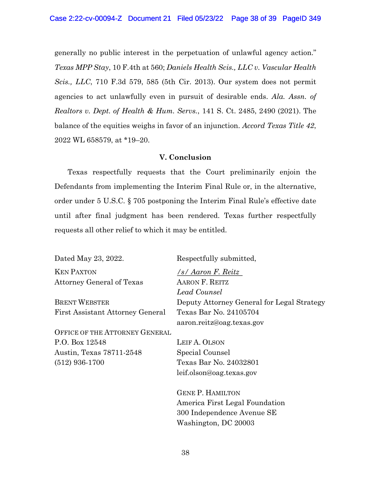generally no public interest in the perpetuation of unlawful agency action." *Texas MPP Stay*, 10 F.4th at 560; *Daniels Health Scis., LLC v. Vascular Health Scis., LLC*, 710 F.3d 579, 585 (5th Cir. 2013). Our system does not permit agencies to act unlawfully even in pursuit of desirable ends. *Ala. Assn. of Realtors v. Dept. of Health & Hum. Servs.*, 141 S. Ct. 2485, 2490 (2021). The balance of the equities weighs in favor of an injunction. *Accord Texas Title 42*, 2022 WL 658579, at \*19–20.

### **V. Conclusion**

<span id="page-37-0"></span>Texas respectfully requests that the Court preliminarily enjoin the Defendants from implementing the Interim Final Rule or, in the alternative, order under 5 U.S.C. § 705 postponing the Interim Final Rule's effective date until after final judgment has been rendered. Texas further respectfully requests all other relief to which it may be entitled.

Dated May 23, 2022. Respectfully submitted, KEN PAXTON Attorney General of Texas

BRENT WEBSTER First Assistant Attorney General

OFFICE OF THE ATTORNEY GENERAL P.O. Box 12548 Austin, Texas 78711-2548 (512) 936-1700

*/s/ Aaron F. Reitz* AARON F. REITZ *Lead Counsel* Deputy Attorney General for Legal Strategy Texas Bar No. 24105704 aaron.reitz@oag.texas.gov

LEIF A. OLSON Special Counsel Texas Bar No. 24032801 leif.olson@oag.texas.gov

GENE P. HAMILTON America First Legal Foundation 300 Independence Avenue SE Washington, DC 20003